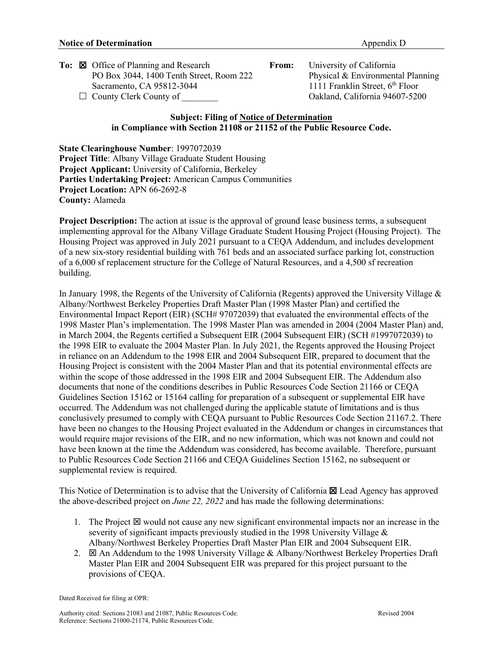|  | To: $\boxtimes$ Office of Planning and Research | From: | University of California          |
|--|-------------------------------------------------|-------|-----------------------------------|
|  | PO Box 3044, 1400 Tenth Street, Room 222        |       | Physical & Environmental Planning |
|  | Sacramento, CA 95812-3044                       |       | 1111 Franklin Street, $6th$ Floor |
|  | $\Box$ County Clerk County of                   |       | Oakland, California 94607-5200    |

## **Subject: Filing of Notice of Determination in Compliance with Section 21108 or 21152 of the Public Resource Code.**

**State Clearinghouse Number**: 1997072039 **Project Title**: Albany Village Graduate Student Housing **Project Applicant:** University of California, Berkeley **Parties Undertaking Project:** American Campus Communities **Project Location:** APN 66-2692-8 **County:** Alameda

**Project Description:** The action at issue is the approval of ground lease business terms, a subsequent implementing approval for the Albany Village Graduate Student Housing Project (Housing Project). The Housing Project was approved in July 2021 pursuant to a CEQA Addendum, and includes development of a new six-story residential building with 761 beds and an associated surface parking lot, construction of a 6,000 sf replacement structure for the College of Natural Resources, and a 4,500 sf recreation building.

In January 1998, the Regents of the University of California (Regents) approved the University Village & Albany/Northwest Berkeley Properties Draft Master Plan (1998 Master Plan) and certified the Environmental Impact Report (EIR) (SCH# 97072039) that evaluated the environmental effects of the 1998 Master Plan's implementation. The 1998 Master Plan was amended in 2004 (2004 Master Plan) and, in March 2004, the Regents certified a Subsequent EIR (2004 Subsequent EIR) (SCH #1997072039) to the 1998 EIR to evaluate the 2004 Master Plan. In July 2021, the Regents approved the Housing Project in reliance on an Addendum to the 1998 EIR and 2004 Subsequent EIR, prepared to document that the Housing Project is consistent with the 2004 Master Plan and that its potential environmental effects are within the scope of those addressed in the 1998 EIR and 2004 Subsequent EIR. The Addendum also documents that none of the conditions describes in Public Resources Code Section 21166 or CEQA Guidelines Section 15162 or 15164 calling for preparation of a subsequent or supplemental EIR have occurred. The Addendum was not challenged during the applicable statute of limitations and is thus conclusively presumed to comply with CEQA pursuant to Public Resources Code Section 21167.2. There have been no changes to the Housing Project evaluated in the Addendum or changes in circumstances that would require major revisions of the EIR, and no new information, which was not known and could not have been known at the time the Addendum was considered, has become available. Therefore, pursuant to Public Resources Code Section 21166 and CEQA Guidelines Section 15162, no subsequent or supplemental review is required.

This Notice of Determination is to advise that the University of California  $\boxtimes$  Lead Agency has approved the above-described project on *June 22, 2022* and has made the following determinations:

- 1. The Project  $\boxtimes$  would not cause any new significant environmental impacts nor an increase in the severity of significant impacts previously studied in the 1998 University Village & Albany/Northwest Berkeley Properties Draft Master Plan EIR and 2004 Subsequent EIR.
- 2.  $\boxtimes$  An Addendum to the 1998 University Village & Albany/Northwest Berkeley Properties Draft Master Plan EIR and 2004 Subsequent EIR was prepared for this project pursuant to the provisions of CEQA.

Dated Received for filing at OPR: